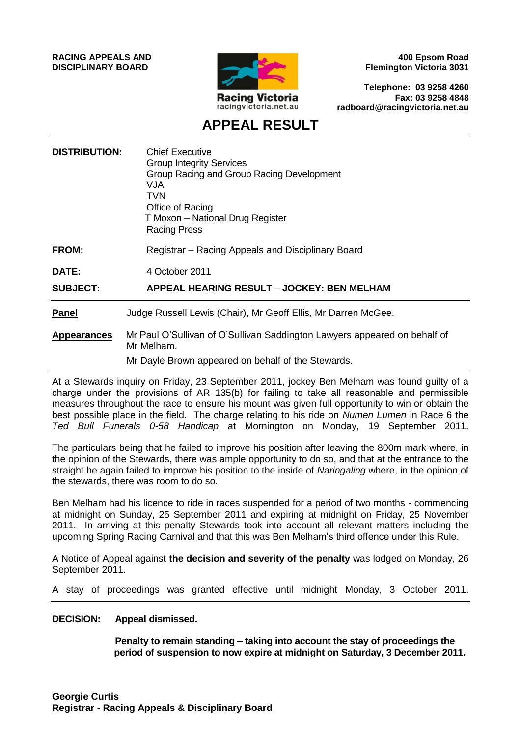

**400 Epsom Road Flemington Victoria 3031**

**Telephone: 03 9258 4260 Fax: 03 9258 4848 radboard@racingvictoria.net.au**

## **APPEAL RESULT**

| <b>DISTRIBUTION:</b> | <b>Chief Executive</b><br><b>Group Integrity Services</b><br>Group Racing and Group Racing Development<br>VJA.<br>TVN<br>Office of Racing<br>T Moxon - National Drug Register<br><b>Racing Press</b> |
|----------------------|------------------------------------------------------------------------------------------------------------------------------------------------------------------------------------------------------|
| <b>FROM:</b>         | Registrar – Racing Appeals and Disciplinary Board                                                                                                                                                    |
| <b>DATE:</b>         | 4 October 2011                                                                                                                                                                                       |
| <b>SUBJECT:</b>      | <b>APPEAL HEARING RESULT - JOCKEY: BEN MELHAM</b>                                                                                                                                                    |
| <b>Panel</b>         | Judge Russell Lewis (Chair), Mr Geoff Ellis, Mr Darren McGee.                                                                                                                                        |
| <b>Appearances</b>   | Mr Paul O'Sullivan of O'Sullivan Saddington Lawyers appeared on behalf of<br>Mr Melham.<br>Mr Dayle Brown appeared on behalf of the Stewards.                                                        |
|                      |                                                                                                                                                                                                      |

At a Stewards inquiry on Friday, 23 September 2011, jockey Ben Melham was found guilty of a charge under the provisions of AR 135(b) for failing to take all reasonable and permissible measures throughout the race to ensure his mount was given full opportunity to win or obtain the best possible place in the field. The charge relating to his ride on *Numen Lumen* in Race 6 the *Ted Bull Funerals 0-58 Handicap* at Mornington on Monday, 19 September 2011.

The particulars being that he failed to improve his position after leaving the 800m mark where, in the opinion of the Stewards, there was ample opportunity to do so, and that at the entrance to the straight he again failed to improve his position to the inside of *Naringaling* where, in the opinion of the stewards, there was room to do so.

Ben Melham had his licence to ride in races suspended for a period of two months - commencing at midnight on Sunday, 25 September 2011 and expiring at midnight on Friday, 25 November 2011. In arriving at this penalty Stewards took into account all relevant matters including the upcoming Spring Racing Carnival and that this was Ben Melham's third offence under this Rule.

A Notice of Appeal against **the decision and severity of the penalty** was lodged on Monday, 26 September 2011.

A stay of proceedings was granted effective until midnight Monday, 3 October 2011.

#### **DECISION: Appeal dismissed.**

**Penalty to remain standing – taking into account the stay of proceedings the period of suspension to now expire at midnight on Saturday, 3 December 2011.**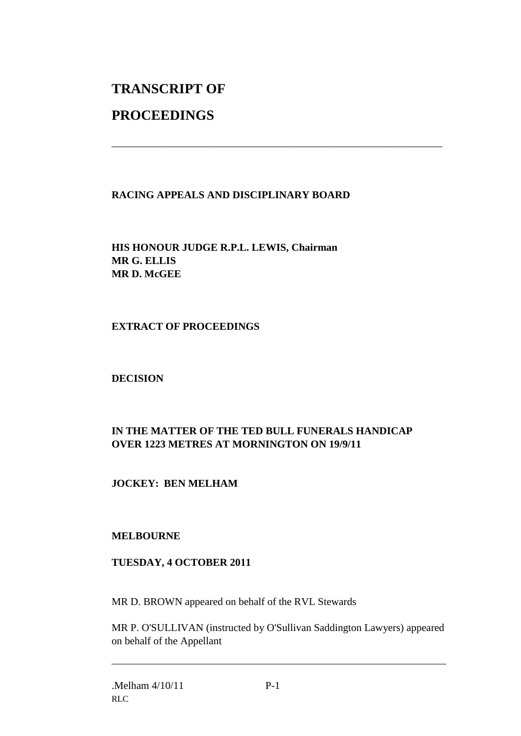# **TRANSCRIPT OF**

## **PROCEEDINGS**

#### **RACING APPEALS AND DISCIPLINARY BOARD**

\_\_\_\_\_\_\_\_\_\_\_\_\_\_\_\_\_\_\_\_\_\_\_\_\_\_\_\_\_\_\_\_\_\_\_\_\_\_\_\_\_\_\_\_\_\_\_\_\_\_\_\_\_\_\_\_\_\_\_\_\_\_\_

**HIS HONOUR JUDGE R.P.L. LEWIS, Chairman MR G. ELLIS MR D. McGEE**

#### **EXTRACT OF PROCEEDINGS**

#### **DECISION**

### **IN THE MATTER OF THE TED BULL FUNERALS HANDICAP OVER 1223 METRES AT MORNINGTON ON 19/9/11**

#### **JOCKEY: BEN MELHAM**

#### **MELBOURNE**

#### **TUESDAY, 4 OCTOBER 2011**

MR D. BROWN appeared on behalf of the RVL Stewards

MR P. O'SULLIVAN (instructed by O'Sullivan Saddington Lawyers) appeared on behalf of the Appellant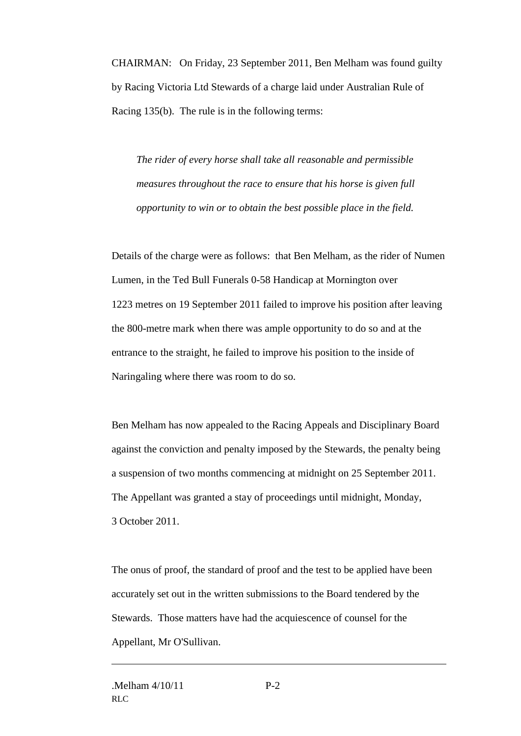CHAIRMAN: On Friday, 23 September 2011, Ben Melham was found guilty by Racing Victoria Ltd Stewards of a charge laid under Australian Rule of Racing 135(b). The rule is in the following terms:

*The rider of every horse shall take all reasonable and permissible measures throughout the race to ensure that his horse is given full opportunity to win or to obtain the best possible place in the field.*

Details of the charge were as follows: that Ben Melham, as the rider of Numen Lumen, in the Ted Bull Funerals 0-58 Handicap at Mornington over 1223 metres on 19 September 2011 failed to improve his position after leaving the 800-metre mark when there was ample opportunity to do so and at the entrance to the straight, he failed to improve his position to the inside of Naringaling where there was room to do so.

Ben Melham has now appealed to the Racing Appeals and Disciplinary Board against the conviction and penalty imposed by the Stewards, the penalty being a suspension of two months commencing at midnight on 25 September 2011. The Appellant was granted a stay of proceedings until midnight, Monday, 3 October 2011.

The onus of proof, the standard of proof and the test to be applied have been accurately set out in the written submissions to the Board tendered by the Stewards. Those matters have had the acquiescence of counsel for the Appellant, Mr O'Sullivan.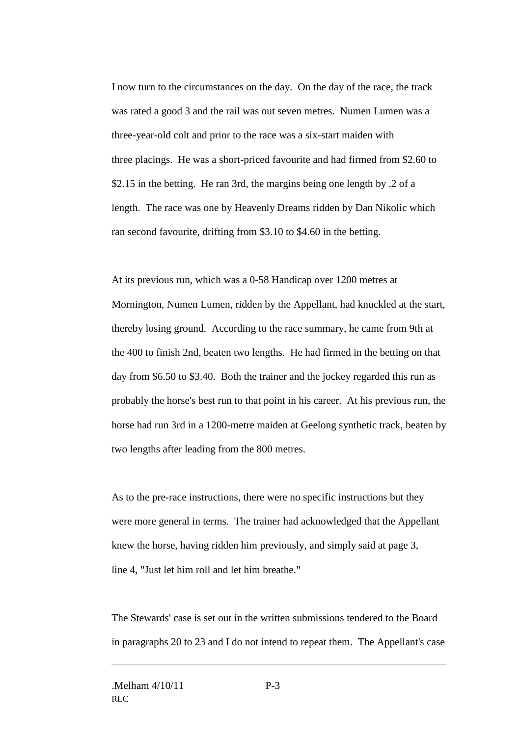I now turn to the circumstances on the day. On the day of the race, the track was rated a good 3 and the rail was out seven metres. Numen Lumen was a three-year-old colt and prior to the race was a six-start maiden with three placings. He was a short-priced favourite and had firmed from \$2.60 to \$2.15 in the betting. He ran 3rd, the margins being one length by .2 of a length. The race was one by Heavenly Dreams ridden by Dan Nikolic which ran second favourite, drifting from \$3.10 to \$4.60 in the betting.

At its previous run, which was a 0-58 Handicap over 1200 metres at Mornington, Numen Lumen, ridden by the Appellant, had knuckled at the start, thereby losing ground. According to the race summary, he came from 9th at the 400 to finish 2nd, beaten two lengths. He had firmed in the betting on that day from \$6.50 to \$3.40. Both the trainer and the jockey regarded this run as probably the horse's best run to that point in his career. At his previous run, the horse had run 3rd in a 1200-metre maiden at Geelong synthetic track, beaten by two lengths after leading from the 800 metres.

As to the pre-race instructions, there were no specific instructions but they were more general in terms. The trainer had acknowledged that the Appellant knew the horse, having ridden him previously, and simply said at page 3, line 4, "Just let him roll and let him breathe."

The Stewards' case is set out in the written submissions tendered to the Board in paragraphs 20 to 23 and I do not intend to repeat them. The Appellant's case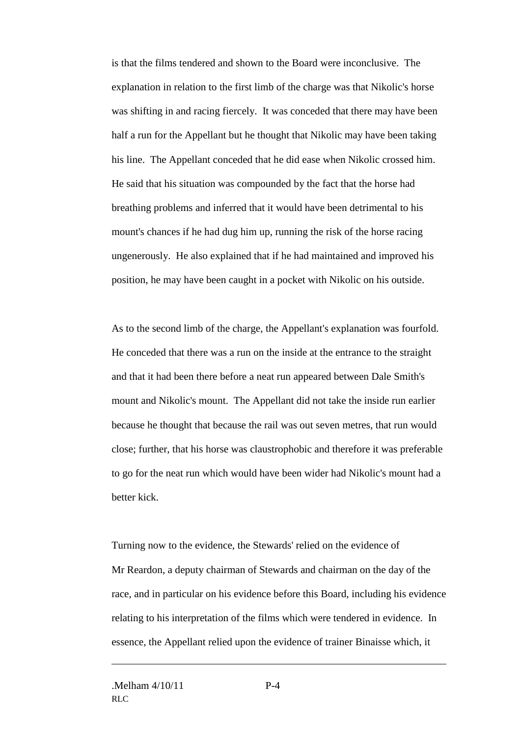is that the films tendered and shown to the Board were inconclusive. The explanation in relation to the first limb of the charge was that Nikolic's horse was shifting in and racing fiercely. It was conceded that there may have been half a run for the Appellant but he thought that Nikolic may have been taking his line. The Appellant conceded that he did ease when Nikolic crossed him. He said that his situation was compounded by the fact that the horse had breathing problems and inferred that it would have been detrimental to his mount's chances if he had dug him up, running the risk of the horse racing ungenerously. He also explained that if he had maintained and improved his position, he may have been caught in a pocket with Nikolic on his outside.

As to the second limb of the charge, the Appellant's explanation was fourfold. He conceded that there was a run on the inside at the entrance to the straight and that it had been there before a neat run appeared between Dale Smith's mount and Nikolic's mount. The Appellant did not take the inside run earlier because he thought that because the rail was out seven metres, that run would close; further, that his horse was claustrophobic and therefore it was preferable to go for the neat run which would have been wider had Nikolic's mount had a better kick.

Turning now to the evidence, the Stewards' relied on the evidence of Mr Reardon, a deputy chairman of Stewards and chairman on the day of the race, and in particular on his evidence before this Board, including his evidence relating to his interpretation of the films which were tendered in evidence. In essence, the Appellant relied upon the evidence of trainer Binaisse which, it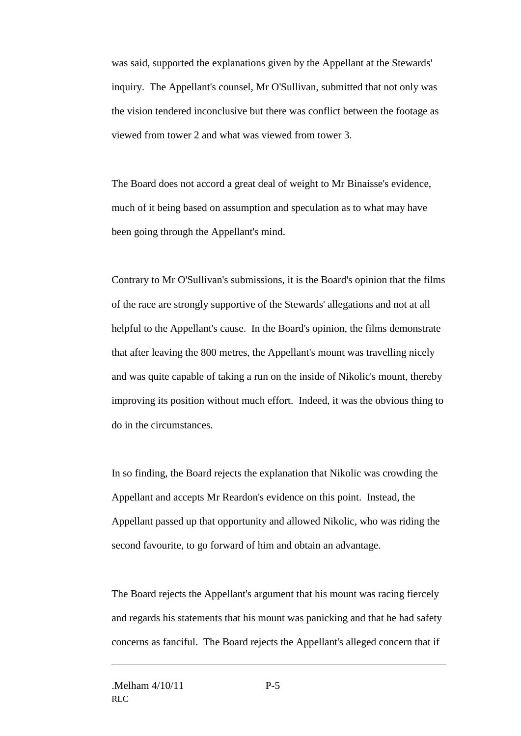was said, supported the explanations given by the Appellant at the Stewards' inquiry. The Appellant's counsel, Mr O'Sullivan, submitted that not only was the vision tendered inconclusive but there was conflict between the footage as viewed from tower 2 and what was viewed from tower 3.

The Board does not accord a great deal of weight to Mr Binaisse's evidence, much of it being based on assumption and speculation as to what may have been going through the Appellant's mind.

Contrary to Mr O'Sullivan's submissions, it is the Board's opinion that the films of the race are strongly supportive of the Stewards' allegations and not at all helpful to the Appellant's cause. In the Board's opinion, the films demonstrate that after leaving the 800 metres, the Appellant's mount was travelling nicely and was quite capable of taking a run on the inside of Nikolic's mount, thereby improving its position without much effort. Indeed, it was the obvious thing to do in the circumstances.

In so finding, the Board rejects the explanation that Nikolic was crowding the Appellant and accepts Mr Reardon's evidence on this point. Instead, the Appellant passed up that opportunity and allowed Nikolic, who was riding the second favourite, to go forward of him and obtain an advantage.

The Board rejects the Appellant's argument that his mount was racing fiercely and regards his statements that his mount was panicking and that he had safety concerns as fanciful. The Board rejects the Appellant's alleged concern that if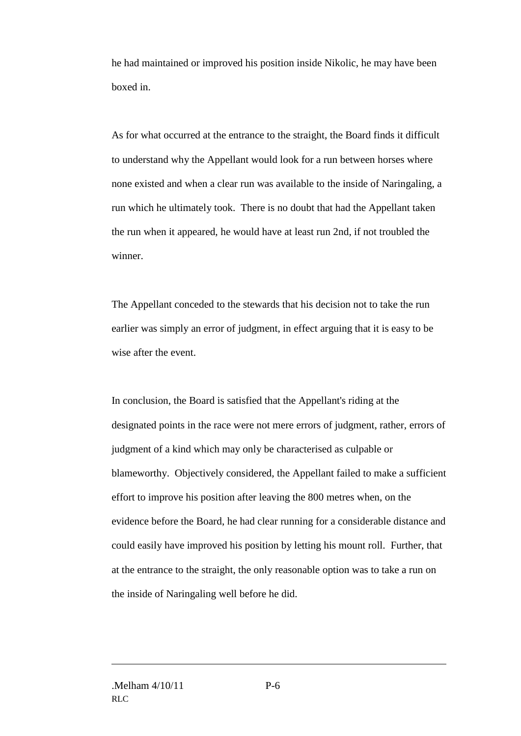he had maintained or improved his position inside Nikolic, he may have been boxed in.

As for what occurred at the entrance to the straight, the Board finds it difficult to understand why the Appellant would look for a run between horses where none existed and when a clear run was available to the inside of Naringaling, a run which he ultimately took. There is no doubt that had the Appellant taken the run when it appeared, he would have at least run 2nd, if not troubled the winner.

The Appellant conceded to the stewards that his decision not to take the run earlier was simply an error of judgment, in effect arguing that it is easy to be wise after the event.

In conclusion, the Board is satisfied that the Appellant's riding at the designated points in the race were not mere errors of judgment, rather, errors of judgment of a kind which may only be characterised as culpable or blameworthy. Objectively considered, the Appellant failed to make a sufficient effort to improve his position after leaving the 800 metres when, on the evidence before the Board, he had clear running for a considerable distance and could easily have improved his position by letting his mount roll. Further, that at the entrance to the straight, the only reasonable option was to take a run on the inside of Naringaling well before he did.